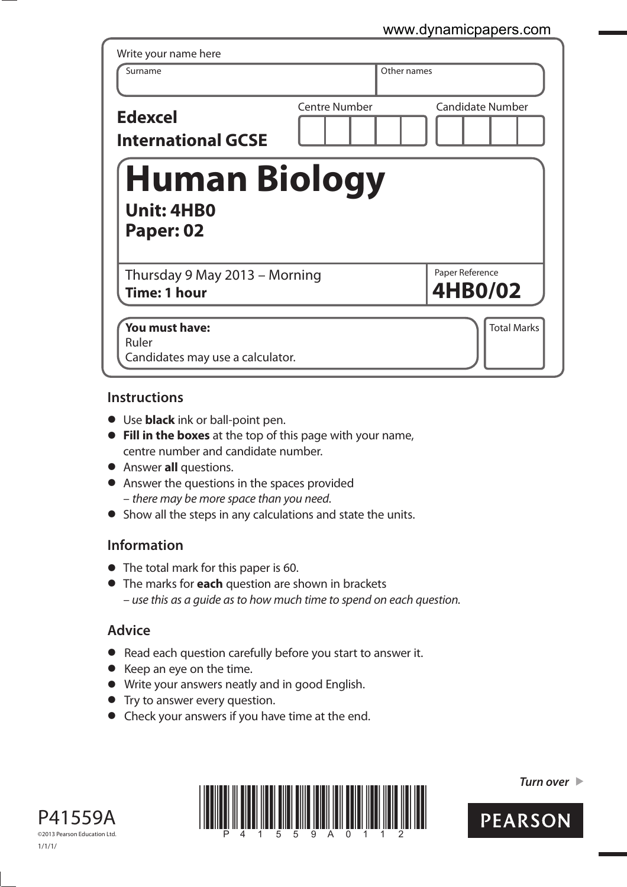| Surname                                                | Other names          |                            |
|--------------------------------------------------------|----------------------|----------------------------|
| <b>Edexcel</b><br><b>International GCSE</b>            | <b>Centre Number</b> | <b>Candidate Number</b>    |
| <b>Human Biology</b><br><b>Unit: 4HB0</b><br>Paper: 02 |                      |                            |
|                                                        |                      |                            |
| Thursday 9 May 2013 - Morning<br><b>Time: 1 hour</b>   |                      | Paper Reference<br>4HB0/02 |

## **Instructions**

- **t** Use **black** ink or ball-point pen.
- **Fill in the boxes** at the top of this page with your name, centre number and candidate number.
- **•** Answer **all** questions.
- **•** Answer the questions in the spaces provided – there may be more space than you need.
- **•** Show all the steps in any calculations and state the units.

## **Information**

- **•** The total mark for this paper is 60.
- **t** The marks for **each** question are shown in brackets – use this as a guide as to how much time to spend on each question.

## **Advice**

- **t** Read each question carefully before you start to answer it.
- **t** Keep an eye on the time.
- **t** Write your answers neatly and in good English.
- **•** Try to answer every question.
- **•** Check your answers if you have time at the end.





*Turn over* 

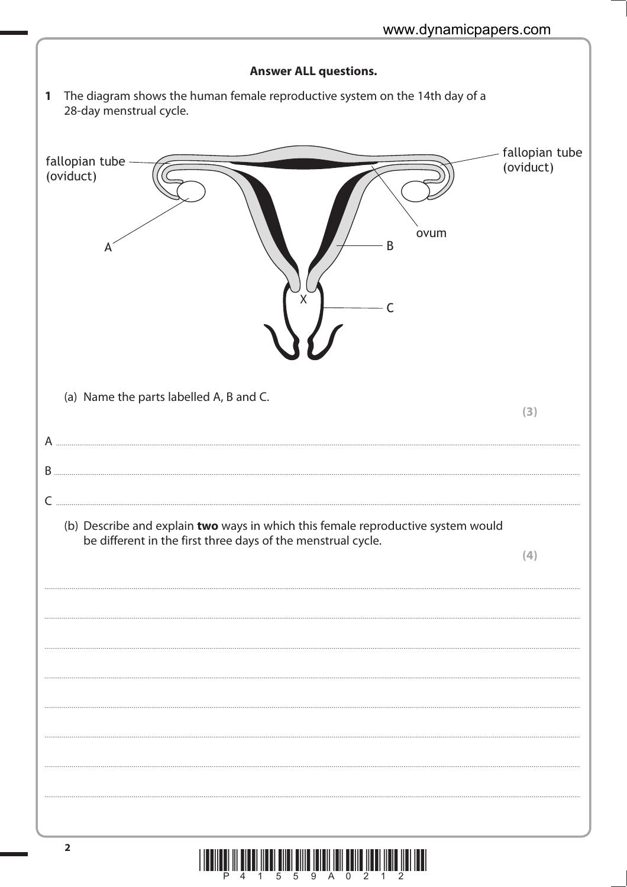|     | <b>Answer ALL questions.</b>                                                                                                                     |                             |
|-----|--------------------------------------------------------------------------------------------------------------------------------------------------|-----------------------------|
| 1   | The diagram shows the human female reproductive system on the 14th day of a<br>28-day menstrual cycle.                                           |                             |
|     | fallopian tube<br>(oviduct)<br>ovum<br>B<br>X                                                                                                    | fallopian tube<br>(oviduct) |
|     | (a) Name the parts labelled A, B and C.                                                                                                          | (3)                         |
|     |                                                                                                                                                  |                             |
| $B$ |                                                                                                                                                  |                             |
|     | (b) Describe and explain two ways in which this female reproductive system would<br>be different in the first three days of the menstrual cycle. | (4)                         |
|     |                                                                                                                                                  |                             |
|     |                                                                                                                                                  |                             |
|     |                                                                                                                                                  |                             |
|     |                                                                                                                                                  |                             |
|     |                                                                                                                                                  |                             |
|     |                                                                                                                                                  |                             |
|     |                                                                                                                                                  |                             |
|     | $\overline{2}$                                                                                                                                   |                             |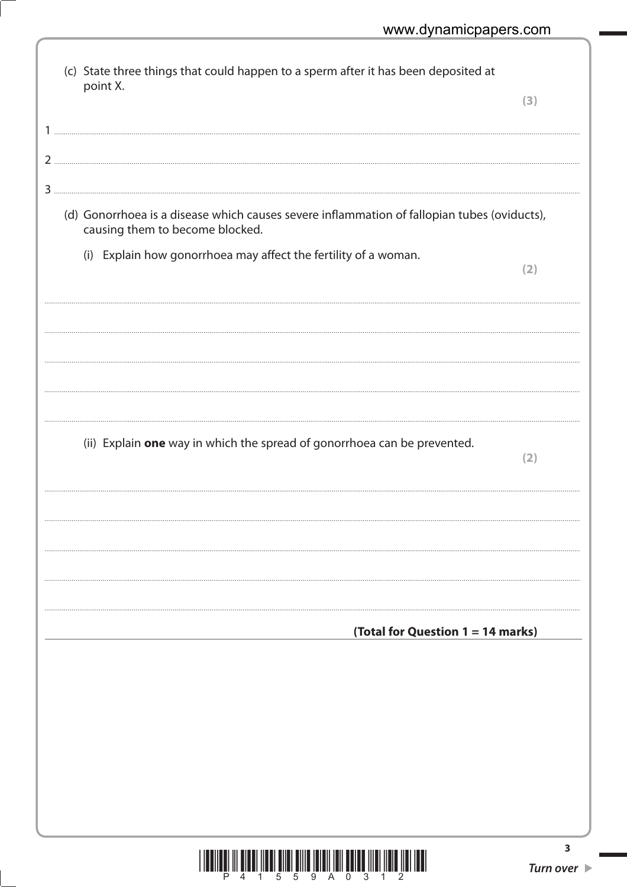| (c) State three things that could happen to a sperm after it has been deposited at                                             |     |
|--------------------------------------------------------------------------------------------------------------------------------|-----|
| point X.                                                                                                                       | (3) |
|                                                                                                                                |     |
|                                                                                                                                |     |
| 2                                                                                                                              |     |
|                                                                                                                                |     |
| (d) Gonorrhoea is a disease which causes severe inflammation of fallopian tubes (oviducts),<br>causing them to become blocked. |     |
| (i) Explain how gonorrhoea may affect the fertility of a woman.                                                                |     |
|                                                                                                                                | (2) |
|                                                                                                                                |     |
|                                                                                                                                |     |
|                                                                                                                                |     |
|                                                                                                                                |     |
|                                                                                                                                |     |
|                                                                                                                                |     |
| (ii) Explain one way in which the spread of gonorrhoea can be prevented.                                                       | (2) |
|                                                                                                                                |     |
|                                                                                                                                |     |
|                                                                                                                                |     |
|                                                                                                                                |     |
|                                                                                                                                |     |
|                                                                                                                                |     |
|                                                                                                                                |     |
| (Total for Question 1 = 14 marks)                                                                                              |     |
|                                                                                                                                |     |
|                                                                                                                                |     |
|                                                                                                                                |     |
|                                                                                                                                |     |
|                                                                                                                                |     |
|                                                                                                                                |     |
|                                                                                                                                |     |
|                                                                                                                                |     |
|                                                                                                                                |     |

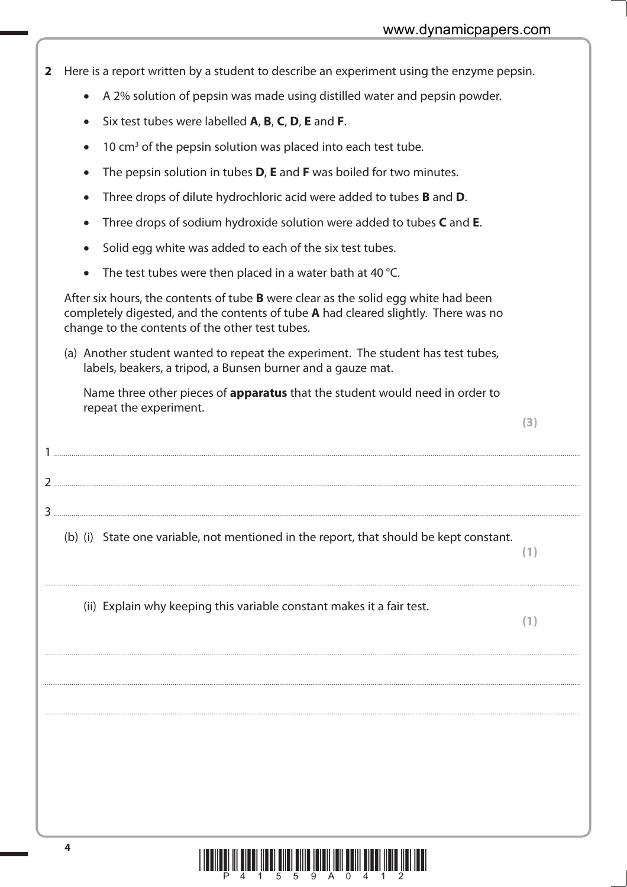- **2** Here is a report written by a student to describe an experiment using the enzyme pepsin.
- A 2% solution of pepsin was made using distilled water and pepsin powder.
- -Six test tubes were labelled **A**, **B**, **C**, **D**, **E** and **F**.
- $\bullet$  10 cm<sup>3</sup> of the pepsin solution was placed into each test tube.
- -The pepsin solution in tubes **D**, **E** and **F** was boiled for two minutes.
- -Three drops of dilute hydrochloric acid were added to tubes **B** and **D**.
- -Three drops of sodium hydroxide solution were added to tubes **C** and **E**.
- -Solid egg white was added to each of the six test tubes.
- -The test tubes were then placed in a water bath at 40 °C.

1 ...............................................................................................................................................................................................................................................................................

 $\overline{2}$ 

3 ...............................................................................................................................................................................................................................................................................

 After six hours, the contents of tube **B** were clear as the solid egg white had been completely digested, and the contents of tube **A** had cleared slightly. There was no change to the contents of the other test tubes.

 (a) Another student wanted to repeat the experiment. The student has test tubes, labels, beakers, a tripod, a Bunsen burner and a gauze mat.

 Name three other pieces of **apparatus** that the student would need in order to repeat the experiment.

**(3)**

(b) (i) State one variable, not mentioned in the report, that should be kept constant.

....................................................................................................................................................................................................................................................................................

....................................................................................................................................................................................................................................................................................

....................................................................................................................................................................................................................................................................................

....................................................................................................................................................................................................................................................................................

(ii) Explain why keeping this variable constant makes it a fair test.

**(1)**

**(1)**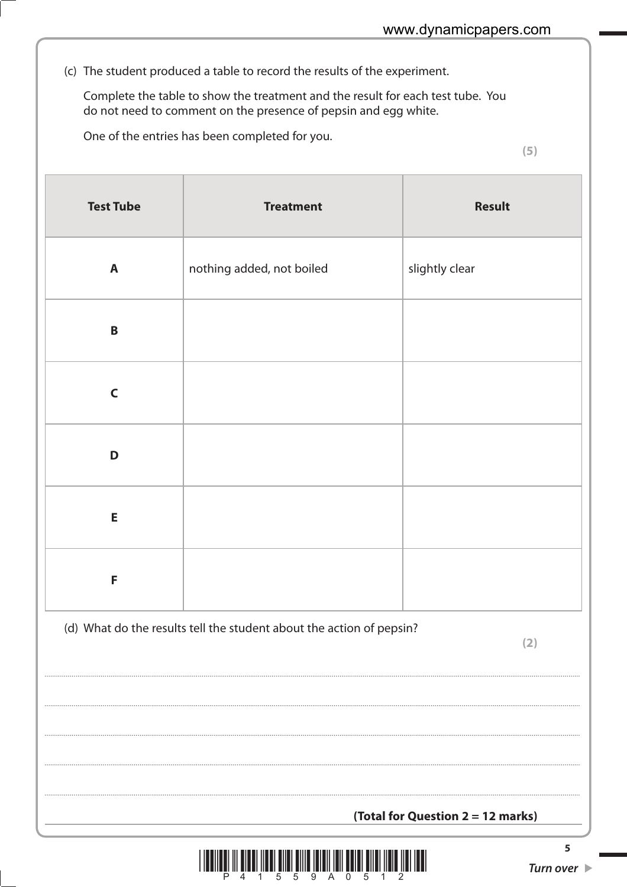(c) The student produced a table to record the results of the experiment.

Complete the table to show the treatment and the result for each test tube. You do not need to comment on the presence of pepsin and egg white.

One of the entries has been completed for you.

 $(5)$ 

| <b>Test Tube</b> | <b>Treatment</b>                                                            | <b>Result</b>  |  |  |
|------------------|-----------------------------------------------------------------------------|----------------|--|--|
| $\mathbf{A}$     | nothing added, not boiled                                                   | slightly clear |  |  |
| $\pmb B$         |                                                                             |                |  |  |
| $\mathsf{C}$     |                                                                             |                |  |  |
| D                |                                                                             |                |  |  |
| E                |                                                                             |                |  |  |
| F                |                                                                             |                |  |  |
|                  | (d) What do the results tell the student about the action of pepsin?<br>(2) |                |  |  |
|                  |                                                                             |                |  |  |
|                  |                                                                             |                |  |  |
|                  | (Total for Question 2 = 12 marks)                                           |                |  |  |



5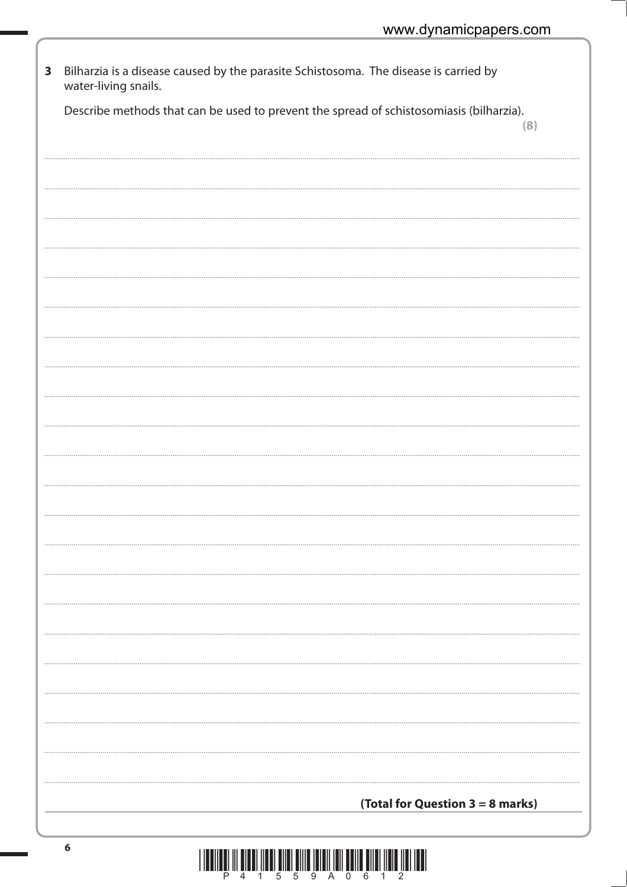| $\mathbf{3}$ | Bilharzia is a disease caused by the parasite Schistosoma. The disease is carried by<br>water-living snails. |     |
|--------------|--------------------------------------------------------------------------------------------------------------|-----|
|              | Describe methods that can be used to prevent the spread of schistosomiasis (bilharzia).                      | (8) |
|              |                                                                                                              |     |
|              |                                                                                                              |     |
|              |                                                                                                              |     |
|              |                                                                                                              |     |
|              |                                                                                                              |     |
|              |                                                                                                              |     |
|              |                                                                                                              |     |
|              |                                                                                                              |     |
|              |                                                                                                              |     |
|              |                                                                                                              |     |
|              |                                                                                                              |     |
|              |                                                                                                              |     |
|              | (Total for Question 3 = 8 marks)                                                                             |     |
|              |                                                                                                              |     |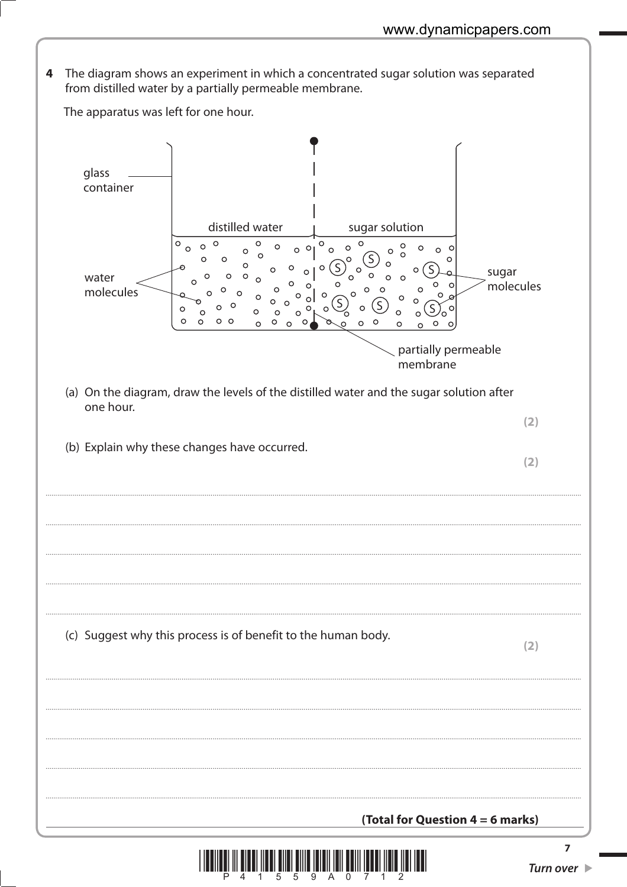The diagram shows an experiment in which a concentrated sugar solution was separated 4 from distilled water by a partially permeable membrane.

The apparatus was left for one hour. glass container distilled water sugar solution  $\circ$  $\circ$  $\circ$  $\circ$  $\circ$  $\circ$  $\circ$  $\Omega$  $\circ$  $\Omega$  $\Omega$  $\circ$  $\sim$  $\circ$  $\circ$  $\circ$  $\Omega$  $\circ$  $\circ$ sugar water  $\Omega$  $\mathcal{C}$ molecules  $\circ$  $\mathcal{C}$  $\Omega$ molecules  $\Omega$  $\Omega$  $\Omega$  $\Omega$ (S  $\circ$  $\circ$  $\circ$  $\Omega$  $\mathcal{C}$ S  $\Omega$  $\circ$  $\circ$  $\Omega$ ്റ  $\circ$  $\circ$   $\circ$  $\circ$  $\circ$  $\circ$  $\Omega$  $\circ$  $\circ$  $\Omega$  $\circ$  $\circ$  $\circ$ partially permeable membrane (a) On the diagram, draw the levels of the distilled water and the sugar solution after one hour.  $(2)$ (b) Explain why these changes have occurred.  $(2)$ (c) Suggest why this process is of benefit to the human body.  $(2)$ (Total for Question  $4 = 6$  marks)

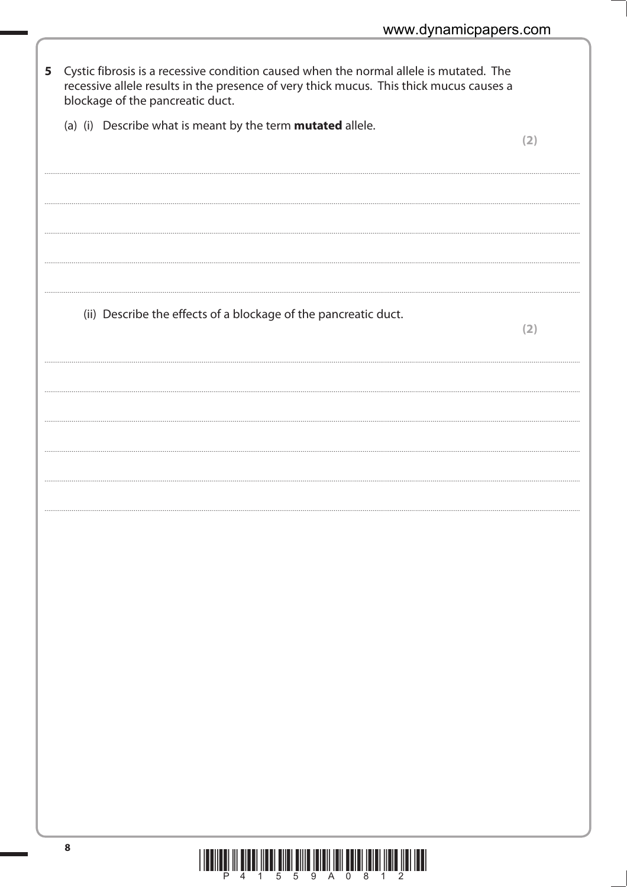| 5 | Cystic fibrosis is a recessive condition caused when the normal allele is mutated. The<br>recessive allele results in the presence of very thick mucus. This thick mucus causes a<br>blockage of the pancreatic duct. |     |
|---|-----------------------------------------------------------------------------------------------------------------------------------------------------------------------------------------------------------------------|-----|
|   | (a) (i) Describe what is meant by the term <b>mutated</b> allele.                                                                                                                                                     | (2) |
|   |                                                                                                                                                                                                                       |     |
|   |                                                                                                                                                                                                                       |     |
|   | (ii) Describe the effects of a blockage of the pancreatic duct.                                                                                                                                                       | (2) |
|   |                                                                                                                                                                                                                       |     |
|   |                                                                                                                                                                                                                       |     |
|   |                                                                                                                                                                                                                       |     |
|   |                                                                                                                                                                                                                       |     |
|   |                                                                                                                                                                                                                       |     |
|   |                                                                                                                                                                                                                       |     |
|   |                                                                                                                                                                                                                       |     |
|   |                                                                                                                                                                                                                       |     |
|   |                                                                                                                                                                                                                       |     |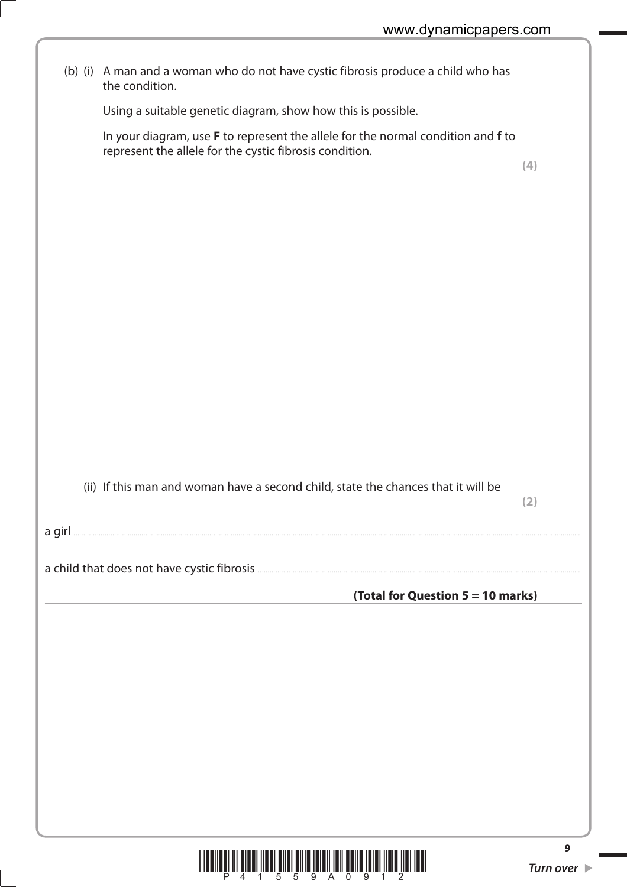| (b) (i) A man and a woman who do not have cystic fibrosis produce a child who has<br>the condition.                                         |     |
|---------------------------------------------------------------------------------------------------------------------------------------------|-----|
| Using a suitable genetic diagram, show how this is possible.                                                                                |     |
| In your diagram, use F to represent the allele for the normal condition and f to<br>represent the allele for the cystic fibrosis condition. | (4) |
|                                                                                                                                             |     |
|                                                                                                                                             |     |
|                                                                                                                                             |     |
|                                                                                                                                             |     |
| (ii) If this man and woman have a second child, state the chances that it will be                                                           | (2) |
|                                                                                                                                             |     |
|                                                                                                                                             |     |
| (Total for Question 5 = 10 marks)                                                                                                           |     |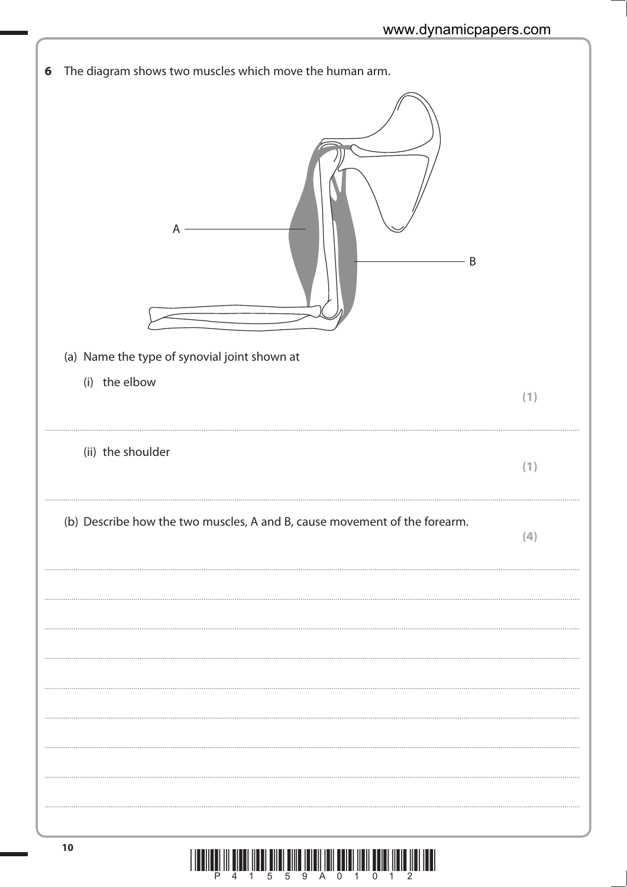| 6 | The diagram shows two muscles which move the human arm.<br>A<br>Β         |     |
|---|---------------------------------------------------------------------------|-----|
|   | (a) Name the type of synovial joint shown at                              |     |
|   | (i) the elbow                                                             |     |
|   |                                                                           | (1) |
|   |                                                                           |     |
|   | (ii) the shoulder                                                         | (1) |
|   | (b) Describe how the two muscles, A and B, cause movement of the forearm. | (4) |
|   |                                                                           |     |
|   |                                                                           |     |
|   |                                                                           |     |
|   |                                                                           |     |
|   |                                                                           |     |
|   |                                                                           |     |
|   |                                                                           |     |
|   |                                                                           |     |
|   |                                                                           |     |
|   |                                                                           |     |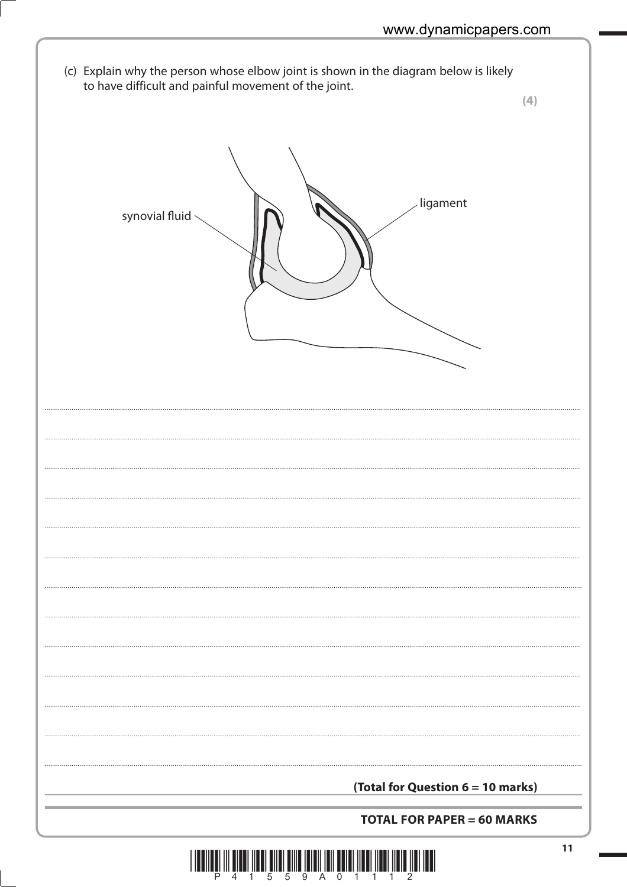(c) Explain why the person whose elbow joint is shown in the diagram below is likely to have difficult and painful movement of the joint.

 $(4)$ ligament synovial fluid \ (Total for Question 6 = 10 marks) **TOTAL FOR PAPER = 60 MARKS**